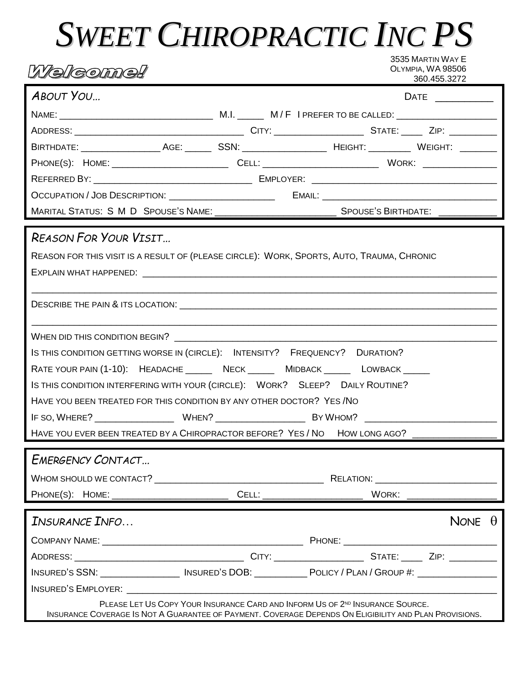## **SWEET CHIROPRACTIC INC PS**

| L <i>ikelkeomneh</i>                                                                                                                                                                                                           |  |  | 3535 MARTIN WAY E<br>OLYMPIA, WA 98506 | 360.455.3272     |  |
|--------------------------------------------------------------------------------------------------------------------------------------------------------------------------------------------------------------------------------|--|--|----------------------------------------|------------------|--|
| <b>ABOUT YOU</b>                                                                                                                                                                                                               |  |  |                                        | DATE ___________ |  |
|                                                                                                                                                                                                                                |  |  |                                        |                  |  |
|                                                                                                                                                                                                                                |  |  |                                        |                  |  |
|                                                                                                                                                                                                                                |  |  |                                        |                  |  |
|                                                                                                                                                                                                                                |  |  |                                        |                  |  |
|                                                                                                                                                                                                                                |  |  |                                        |                  |  |
|                                                                                                                                                                                                                                |  |  |                                        |                  |  |
|                                                                                                                                                                                                                                |  |  |                                        |                  |  |
| <b>REASON FOR YOUR VISIT</b>                                                                                                                                                                                                   |  |  |                                        |                  |  |
| REASON FOR THIS VISIT IS A RESULT OF (PLEASE CIRCLE): WORK, SPORTS, AUTO, TRAUMA, CHRONIC                                                                                                                                      |  |  |                                        |                  |  |
|                                                                                                                                                                                                                                |  |  |                                        |                  |  |
|                                                                                                                                                                                                                                |  |  |                                        |                  |  |
| IS THIS CONDITION GETTING WORSE IN (CIRCLE): INTENSITY? FREQUENCY? DURATION?                                                                                                                                                   |  |  |                                        |                  |  |
| RATE YOUR PAIN (1-10): HEADACHE _______ NECK _______ MIDBACK _______ LOWBACK ______                                                                                                                                            |  |  |                                        |                  |  |
| IS THIS CONDITION INTERFERING WITH YOUR (CIRCLE): WORK? SLEEP? DAILY ROUTINE?                                                                                                                                                  |  |  |                                        |                  |  |
| HAVE YOU BEEN TREATED FOR THIS CONDITION BY ANY OTHER DOCTOR? YES / NO                                                                                                                                                         |  |  |                                        |                  |  |
| IF SO, WHERE? WHEN? WHEN? BY WHOM?                                                                                                                                                                                             |  |  |                                        |                  |  |
| HAVE YOU EVER BEEN TREATED BY A CHIROPRACTOR BEFORE? YES / NO HOW LONG AGO? _______________________                                                                                                                            |  |  |                                        |                  |  |
| EMERGENCY CONTACT                                                                                                                                                                                                              |  |  |                                        |                  |  |
|                                                                                                                                                                                                                                |  |  |                                        |                  |  |
|                                                                                                                                                                                                                                |  |  |                                        |                  |  |
| INSURANCE INFO                                                                                                                                                                                                                 |  |  |                                        | NONE $\theta$    |  |
|                                                                                                                                                                                                                                |  |  |                                        |                  |  |
|                                                                                                                                                                                                                                |  |  |                                        |                  |  |
| INSURED'S SSN: ________________ INSURED'S DOB: ______________POLICY / PLAN / GROUP #: ______________                                                                                                                           |  |  |                                        |                  |  |
| INSURED'S EMPLOYER: The contract of the contract of the contract of the contract of the contract of the contract of the contract of the contract of the contract of the contract of the contract of the contract of the contra |  |  |                                        |                  |  |
| PLEASE LET US COPY YOUR INSURANCE CARD AND INFORM US OF 2 <sup>ND</sup> INSURANCE SOURCE.<br>INSURANCE COVERAGE IS NOT A GUARANTEE OF PAYMENT. COVERAGE DEPENDS ON ELIGIBILITY AND PLAN PROVISIONS.                            |  |  |                                        |                  |  |